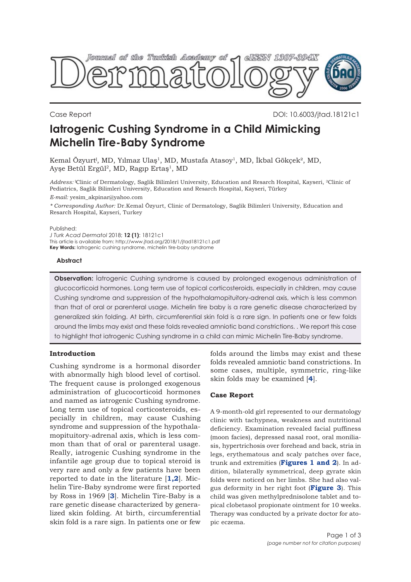

Case Report DOI: 10.6003/jtad.18121c1

# **Iatrogenic Cushing Syndrome in a Child Mimicking Michelin Tire-Baby Syndrome**

Kemal Özyurt<sup>ı</sup>, MD, Yılmaz Ulaş<sup>1</sup>, MD, Mustafa Atasoy<sup>1</sup>, MD, İkbal Gökçek<sup>2</sup>, MD, Ayşe Betül Ergül<sup>2</sup>, MD, Ragıp Ertaş<sup>1</sup>, MD

*Address:* ˡClinic of Dermatology, Saglik Bilimleri University, Education and Resarch Hospital, Kayseri, 2Clinic of Pediatrics, Saglik Bilimleri University, Education and Resarch Hospital, Kayseri, Türkey

*E-mail:* yesim\_akpinar@yahoo.com

*\* Corresponding Author:* Dr.Kemal Özyurt, Clinic of Dermatology, Saglik Bilimleri University, Education and Resarch Hospital, Kayseri, Turkey

#### Published:

*J Turk Acad Dermatol* 2018; **12 (1)**: 18121c1 This article is available from: http://www.jtad.org/2018/1/jtad18121c1.pdf **Key Words:** Iatrogenic cushing syndrome, michelin tire-baby syndrome

## **Abstract**

**Observation:** İatrogenic Cushing syndrome is caused by prolonged exogenous administration of glucocorticoid hormones. Long term use of topical corticosteroids, especially in children, may cause Cushing syndrome and suppression of the hypothalamopituitory-adrenal axis, which is less common than that of oral or parenteral usage. Michelin tire baby is a rare genetic disease characterized by generalized skin folding. At birth, circumferential skin fold is a rare sign. In patients one or few folds around the limbs may exist and these folds revealed amniotic band constrictions. . We report this case to highlight that iatrogenic Cushing syndrome in a child can mimic Michelin Tire-Baby syndrome.

# **Introduction**

Cushing syndrome is a hormonal disorder with abnormally high blood level of cortisol. The frequent cause is prolonged exogenous administration of glucocorticoid hormones and named as iatrogenic Cushing syndrome. Long term use of topical corticosteroids, especially in children, may cause Cushing syndrome and suppression of the hypothalamopituitory-adrenal axis, which is less common than that of oral or parenteral usage. Really, iatrogenic Cushing syndrome in the infantile age group due to topical steroid is very rare and only a few patients have been reported to date in the literature [**[1,](#page-1-0)[2](#page-2-0)**]. Michelin Tire-Baby syndrome were first reported by Ross in 1969 [**[3](#page-2-0)**]. Michelin Tire-Baby is a rare genetic disease characterized by generalized skin folding. At birth, circumferential skin fold is a rare sign. In patients one or few

folds around the limbs may exist and these folds revealed amniotic band constrictions. In some cases, multiple, symmetric, ring-like skin folds may be examined [**[4](#page-2-0)**].

### **Case Report**

A 9-month-old girl represented to our dermatology clinic with tachypnea, weakness and nutritional deficiency. Examination revealed facial puffiness (moon facies), depressed nasal root, oral moniliasis, hypertrichosis over forehead and back, stria in legs, erythematous and scaly patches over face, trunk and extremities (**[Figures 1](#page-1-0) [and 2](#page-1-0)**). In addition, bilaterally symmetrical, deep gyrate skin folds were noticed on her limbs. She had also valgus deformity in her right foot (**[Figure 3](#page-1-0)**). This child was given methylprednisolone tablet and topical clobetasol propionate ointment for 10 weeks. Therapy was conducted by a private doctor for atopic eczema.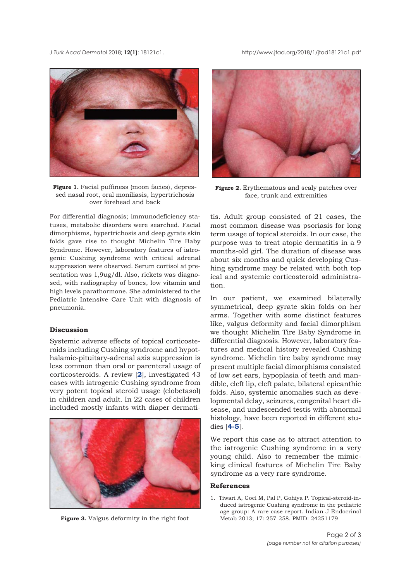<span id="page-1-0"></span>*J Turk Acad Dermato*l 2018; **12(1)**: 18121c1. http://www.jtad.org/2018/1/jtad18121c1.pdf



**Figure 1.** Facial puffiness (moon facies), depressed nasal root, oral moniliasis, hypertrichosis over forehead and back

For differential diagnosis; immunodeficiency statuses, metabolic disorders were searched. Facial dimorphisms, hypertrichosis and deep gyrate skin folds gave rise to thought Michelin Tire Baby Syndrome. However, laboratory features of iatrogenic Cushing syndrome with critical adrenal suppression were observed. Serum cortisol at presentation was 1,9ug/dl. Also, rickets was diagnosed, with radiography of bones, low vitamin and high levels parathormone. She administered to the Pediatric Intensive Care Unit with diagnosis of pneumonia.

### **Discussion**

Systemic adverse effects of topical corticosteroids including Cushing syndrome and hypothalamic-pituitary-adrenal axis suppression is less common than oral or parenteral usage of corticosteroids. A review [**[2](#page-2-0)**], investigated 43 cases with iatrogenic Cushing syndrome from very potent topical steroid usage (clobetasol) in children and adult. In 22 cases of children included mostly infants with diaper dermati-



**Figure 3.** Valgus deformity in the right foot



**Figure 2.** Erythematous and scaly patches over face, trunk and extremities

tis. Adult group consisted of 21 cases, the most common disease was psoriasis for long term usage of topical steroids. In our case, the purpose was to treat atopic dermatitis in a 9 months-old girl. The duration of disease was about six months and quick developing Cushing syndrome may be related with both top ical and systemic corticosteroid administration.

In our patient, we examined bilaterally symmetrical, deep gyrate skin folds on her arms. Together with some distinct features like, valgus deformity and facial dimorphism we thought Michelin Tire Baby Syndrome in differential diagnosis. However, laboratory features and medical history revealed Cushing syndrome. Michelin tire baby syndrome may present multiple facial dimorphisms consisted of low set ears, hypoplasia of teeth and mandible, cleft lip, cleft palate, bilateral epicanthic folds. Also, systemic anomalies such as developmental delay, seizures, congenital heart disease, and undescended testis with abnormal histology, have been reported in different studies [**[4-5](#page-2-0)**].

We report this case as to attract attention to the iatrogenic Cushing syndrome in a very young child. Also to remember the mimicking clinical features of Michelin Tire Baby syndrome as a very rare syndrome.

## **References**

1. Tiwari A, Goel M, Pal P, Gohiya P. Topical-steroid-induced iatrogenic Cushing syndrome in the pediatric age group: A rare case report. Indian J Endocrinol Metab 2013; 17: 257-258. PMID: 24251179